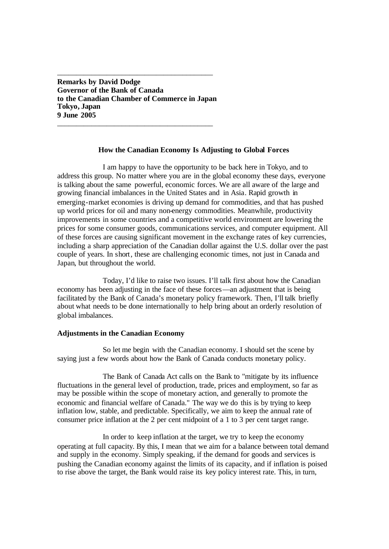**Remarks by David Dodge Governor of the Bank of Canada to the Canadian Chamber of Commerce in Japan Tokyo, Japan 9 June 2005**

\_\_\_\_\_\_\_\_\_\_\_\_\_\_\_\_\_\_\_\_\_\_\_\_\_\_\_\_\_\_\_\_\_\_\_\_\_\_\_\_\_

\_\_\_\_\_\_\_\_\_\_\_\_\_\_\_\_\_\_\_\_\_\_\_\_\_\_\_\_\_\_\_\_\_\_\_\_\_\_\_\_\_

## **How the Canadian Economy Is Adjusting to Global Forces**

I am happy to have the opportunity to be back here in Tokyo, and to address this group. No matter where you are in the global economy these days, everyone is talking about the same powerful, economic forces. We are all aware of the large and growing financial imbalances in the United States and in Asia. Rapid growth in emerging-market economies is driving up demand for commodities, and that has pushed up world prices for oil and many non-energy commodities. Meanwhile, productivity improvements in some countries and a competitive world environment are lowering the prices for some consumer goods, communications services, and computer equipment. All of these forces are causing significant movement in the exchange rates of key currencies, including a sharp appreciation of the Canadian dollar against the U.S. dollar over the past couple of years. In short, these are challenging economic times, not just in Canada and Japan, but throughout the world.

Today, I'd like to raise two issues. I'll talk first about how the Canadian economy has been adjusting in the face of these forces—an adjustment that is being facilitated by the Bank of Canada's monetary policy framework. Then, I'll talk briefly about what needs to be done internationally to help bring about an orderly resolution of global imbalances.

## **Adjustments in the Canadian Economy**

So let me begin with the Canadian economy. I should set the scene by saying just a few words about how the Bank of Canada conducts monetary policy.

The Bank of Canada Act calls on the Bank to "mitigate by its influence fluctuations in the general level of production, trade, prices and employment, so far as may be possible within the scope of monetary action, and generally to promote the economic and financial welfare of Canada." The way we do this is by trying to keep inflation low, stable, and predictable. Specifically, we aim to keep the annual rate of consumer price inflation at the 2 per cent midpoint of a 1 to 3 per cent target range.

In order to keep inflation at the target, we try to keep the economy operating at full capacity. By this, I mean that we aim for a balance between total demand and supply in the economy. Simply speaking, if the demand for goods and services is pushing the Canadian economy against the limits of its capacity, and if inflation is poised to rise above the target, the Bank would raise its key policy interest rate. This, in turn,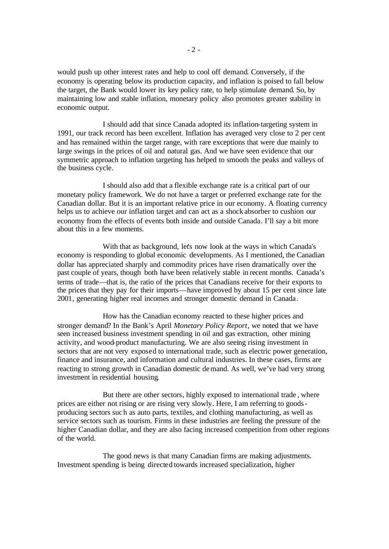would push up other interest rates and help to cool off demand. Conversely, if the economy is operating below its production capacity, and inflation is poised to fall below the target, the Bank would lower its key policy rate, to help stimulate demand. So, by maintaining low and stable inflation, monetary policy also promotes greater stability in economic output.

I should add that since Canada adopted its inflation-targeting system in 1991, our track record has been excellent. Inflation has averaged very close to 2 per cent and has remained within the target range, with rare exceptions that were due mainly to large swings in the prices of oil and natural gas. And we have seen evidence that our symmetric approach to inflation targeting has helped to smooth the peaks and valleys of the business cycle.

I should also add that a flexible exchange rate is a critical part of our monetary policy framework. We do not have a target or preferred exchange rate for the Canadian dollar. But it is an important relative price in our economy. A floating currency helps us to achieve our inflation target and can act as a shock absorber to cushion our economy from the effects of events both inside and outside Canada. I'll say a bit more about this in a few moments.

With that as background, let's now look at the ways in which Canada's economy is responding to global economic developments. As I mentioned, the Canadian dollar has appreciated sharply and commodity prices have risen dramatically over the past couple of years, though both have been relatively stable in recent months. Canada's terms of trade—that is, the ratio of the prices that Canadians receive for their exports to the prices that they pay for their imports—have improved by about 15 per cent since late 2001, generating higher real incomes and stronger domestic demand in Canada .

How has the Canadian economy reacted to these higher prices and stronger demand? In the Bank's April *Monetary Policy Report*, we noted that we have seen increased business investment spending in oil and gas extraction, other mining activity, and wood-product manufacturing. We are also seeing rising investment in sectors that are not very exposed to international trade, such as electric power generation, finance and insurance, and information and cultural industries. In these cases, firms are reacting to strong growth in Canadian domestic demand. As well, we've had very strong investment in residential housing.

But there are other sectors, highly exposed to international trade , where prices are either not rising or are rising very slowly. Here, I am referring to goodsproducing sectors such as auto parts, textiles, and clothing manufacturing, as well as service sectors such as tourism. Firms in these industries are feeling the pressure of the higher Canadian dollar, and they are also facing increased competition from other regions of the world.

The good news is that many Canadian firms are making adjustments. Investment spending is being directed towards increased specialization, higher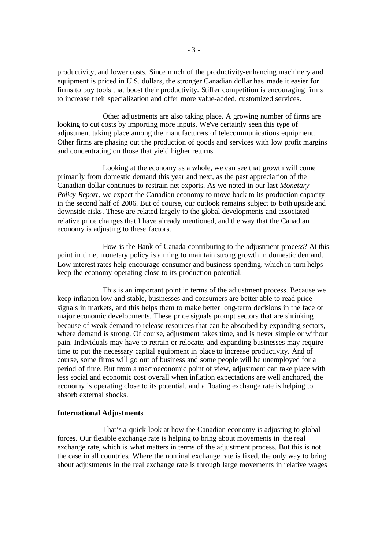productivity, and lower costs. Since much of the productivity-enhancing machinery and equipment is priced in U.S. dollars, the stronger Canadian dollar has made it easier for firms to buy tools that boost their productivity. Stiffer competition is encouraging firms to increase their specialization and offer more value-added, customized services.

Other adjustments are also taking place. A growing number of firms are looking to cut costs by importing more inputs. We've certainly seen this type of adjustment taking place among the manufacturers of telecommunications equipment. Other firms are phasing out the production of goods and services with low profit margins and concentrating on those that yield higher returns.

Looking at the economy as a whole, we can see that growth will come primarily from domestic demand this year and next, as the past apprecia tion of the Canadian dollar continues to restrain net exports. As we noted in our last *Monetary Policy Report*, we expect the Canadian economy to move back to its production capacity in the second half of 2006. But of course, our outlook remains subject to both upside and downside risks. These are related largely to the global developments and associated relative price changes that I have already mentioned, and the way that the Canadian economy is adjusting to these factors.

How is the Bank of Canada contributing to the adjustment process? At this point in time, monetary policy is aiming to maintain strong growth in domestic demand. Low interest rates help encourage consumer and business spending, which in turn helps keep the economy operating close to its production potential.

This is an important point in terms of the adjustment process. Because we keep inflation low and stable, businesses and consumers are better able to read price signals in markets, and this helps them to make better long-term decisions in the face of major economic developments. These price signals prompt sectors that are shrinking because of weak demand to release resources that can be absorbed by expanding sectors, where demand is strong. Of course, adjustment takes time, and is never simple or without pain. Individuals may have to retrain or relocate, and expanding businesses may require time to put the necessary capital equipment in place to increase productivity. And of course, some firms will go out of business and some people will be unemployed for a period of time. But from a macroeconomic point of view, adjustment can take place with less social and economic cost overall when inflation expectations are well anchored, the economy is operating close to its potential, and a floating exchange rate is helping to absorb external shocks.

## **International Adjustments**

That's a quick look at how the Canadian economy is adjusting to global forces. Our flexible exchange rate is helping to bring about movements in the real exchange rate, which is what matters in terms of the adjustment process. But this is not the case in all countries. Where the nominal exchange rate is fixed, the only way to bring about adjustments in the real exchange rate is through large movements in relative wages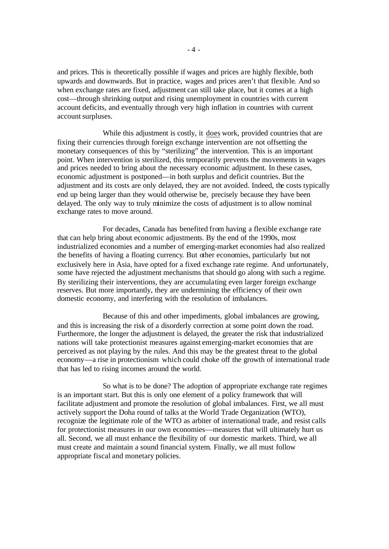and prices. This is theoretically possible if wages and prices are highly flexible, both upwards and downwards. But in practice, wages and prices aren't that flexible. And so when exchange rates are fixed, adjustment can still take place, but it comes at a high cost—through shrinking output and rising unemployment in countries with current account deficits, and eventually through very high inflation in countries with current account surpluses.

While this adjustment is costly, it does work, provided countries that are fixing their currencies through foreign exchange intervention are not offsetting the monetary consequences of this by "sterilizing" the intervention. This is an important point. When intervention is sterilized, this temporarily prevents the movements in wages and prices needed to bring about the necessary economic adjustment. In these cases, economic adjustment is postponed—in both surplus and deficit countries. But the adjustment and its costs are only delayed, they are not avoided. Indeed, the costs typically end up being larger than they would otherwise be, precisely because they have been delayed. The only way to truly minimize the costs of adjustment is to allow nominal exchange rates to move around.

For decades, Canada has benefited from having a flexible exchange rate that can help bring about economic adjustments. By the end of the 1990s, most industrialized economies and a number of emerging-market economies had also realized the benefits of having a floating currency. But other economies, particularly but not exclusively here in Asia, have opted for a fixed exchange rate regime. And unfortunately, some have rejected the adjustment mechanisms that should go along with such a regime. By sterilizing their interventions, they are accumulating even larger foreign exchange reserves. But more importantly, they are undermining the efficiency of their own domestic economy, and interfering with the resolution of imbalances.

Because of this and other impediments, global imbalances are growing, and this is increasing the risk of a disorderly correction at some point down the road. Furthermore, the longer the adjustment is delayed, the greater the risk that industrialized nations will take protectionist measures against emerging-market economies that are perceived as not playing by the rules. And this may be the greatest threat to the global economy—a rise in protectionism which could choke off the growth of international trade that has led to rising incomes around the world.

So what is to be done? The adoption of appropriate exchange rate regimes is an important start. But this is only one element of a policy framework that will facilitate adjustment and promote the resolution of global imbalances. First, we all must actively support the Doha round of talks at the World Trade Organization (WTO), recognize the legitimate role of the WTO as arbiter of international trade, and resist calls for protectionist measures in our own economies—measures that will ultimately hurt us all. Second, we all must enhance the flexibility of our domestic markets. Third, we all must create and maintain a sound financial system. Finally, we all must follow appropriate fiscal and monetary policies.